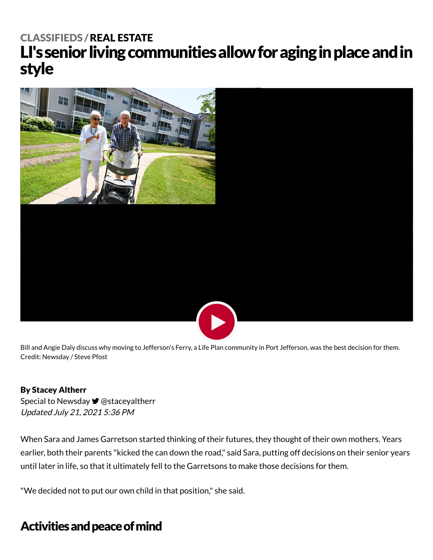# LI's senior living communities allow for aging in place and in style [CLASSIFIEDS](https://www.newsday.com/classifieds) /REAL [ESTATE](https://www.newsday.com/classifieds/real-estate)



Bill and Angie Daly discuss why moving to Jefferson's Ferry, a Life Plan community in Port Jefferson, was the best decision for them. Credit: Newsday / Steve Pfost

#### By Stacey Altherr

Special to Newsday <del>■</del> [@staceyaltherr](https://twitter.com/staceyaltherr) Updated July 21, 2021 5:36 PM

When Sara and James Garretson started thinking of their futures, they thought of their own mothers. Years earlier, both their parents "kicked the can down the road," said Sara, putting off decisions on their senior years until later in life, so that it ultimately fell to the Garretsons to make those decisions for them.

"We decided not to put our own child in that position," she said.

## Activities and peace of mind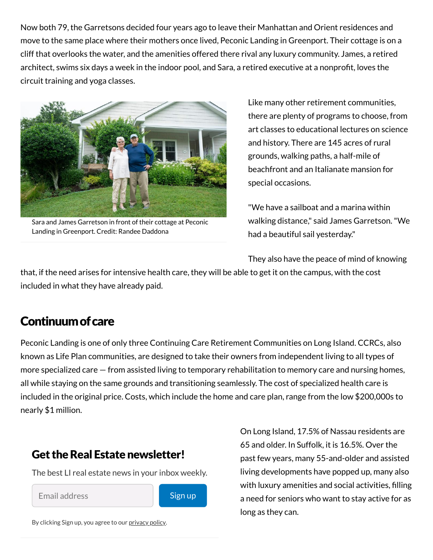Now both 79, the Garretsons decided four years ago to leave their Manhattan and Orient residences and move to the same place where their mothers once lived, Peconic Landing in Greenport. Their cottage is on a cliff that overlooks the water, and the amenities offered there rival any luxury community. James, a retired architect, swims six days a week in the indoor pool, and Sara, a retired executive at a nonprofit, loves the circuit training and yoga classes.



Sara and James Garretson in front of their cottage at Peconic Landing in Greenport. Credit: Randee Daddona

Like many other retirement communities, there are plenty of programs to choose, from art classes to educational lectures on science and history. There are 145 acres of rural grounds, walking paths, a half-mile of beachfront and an Italianate mansion for special occasions.

"We have a sailboat and a marina within walking distance," said James Garretson."We had a beautiful sail yesterday."

They also have the peace of mind of knowing

that, if the need arises for intensive health care, they will be able to get it on the campus, with the cost included in what they have already paid.

#### Continuumofcare

Peconic Landing is one of only three Continuing Care Retirement Communities on Long Island. CCRCs, also known as Life Plan communities, are designed to take their owners from independent living to all types of more specialized care — from assisted living to temporary rehabilitation to memory care and nursing homes, all while staying on the same grounds and transitioning seamlessly. The cost of specialized health care is included in the original price. Costs, which include the home and care plan, range from the low \$200,000s to nearly \$1 million.

#### Get the Real Estate newsletter!

The best LI real estate news in your inbox weekly.

Email address



By clicking Sign up, you agree to our [privacy](https://www.newsday.com/privacy) policy.

On Long Island, 17.5% of Nassau residents are 65 and older. In Suffolk, it is 16.5%. Over the past few years, many 55-and-older and assisted living developments have popped up, many also with luxury amenities and social activities, filling a need for seniors who want to stay active for as long as they can.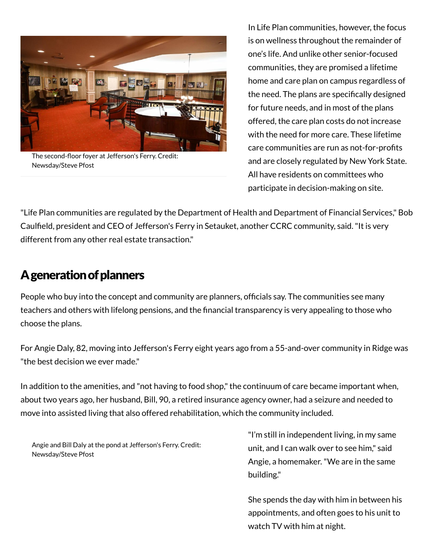

The second-floor foyer at Jefferson's Ferry. Credit: Newsday/Steve Pfost

In Life Plan communities, however, the focus is on wellness throughout the remainder of one's life. And unlike other senior-focused communities, they are promised a lifetime home and care plan on campus regardless of the need. The plans are specifically designed for future needs, and in most of the plans offered, the care plan costs do not increase with the need for more care. These lifetime care communities are run as not-for-profits and are closely regulated by New York State. All have residents on committees who participate in decision-making on site.

"Life Plan communities are regulated by the Department of Health and Department of Financial Services," Bob Caulfield, president and CEO of Jefferson's Ferry in Setauket, another CCRC community, said."It is very different from any other real estate transaction."

## A generation of planners

People who buy into the concept and community are planners, officials say. The communities see many teachers and others with lifelong pensions, and the financial transparency is very appealing to those who choose the plans.

For Angie Daly, 82, moving into Jefferson's Ferry eight years ago from a 55-and-over community in Ridge was "the best decision we ever made."

In addition to the amenities, and "not having to food shop," the continuum of care became important when, about two years ago, her husband, Bill, 90, a retired insurance agency owner, had a seizure and needed to move into assisted living that also offered rehabilitation, which the community included.

Angie and Bill Daly at the pond at Jefferson's Ferry. Credit: Newsday/Steve Pfost

"I'm still in independent living, in my same unit, and I can walk over to see him," said Angie, a homemaker."We are in the same building."

She spends the day with him in between his appointments, and often goes to his unit to watch TV with him at night.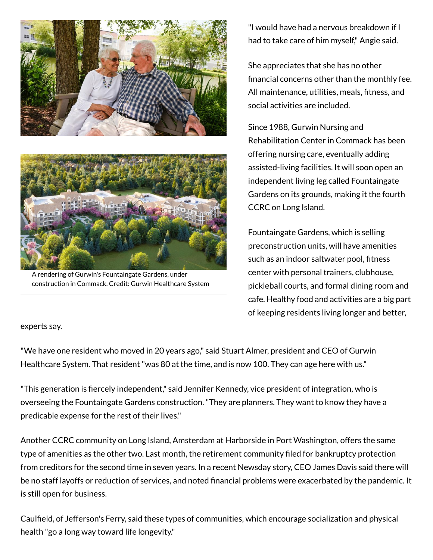



A rendering of Gurwin's Fountaingate Gardens, under construction in Commack. Credit: Gurwin Healthcare System

"I would have had a nervous breakdown if I had to take care of him myself," Angie said.

She appreciates that she has no other financial concerns other than the monthly fee. All maintenance, utilities, meals, fitness, and social activities are included.

Since 1988, Gurwin Nursing and Rehabilitation Center in Commack has been offering nursing care, eventually adding assisted-living facilities. It will soon open an independent living leg called Fountaingate Gardens on its grounds, making it the fourth CCRC on Long Island.

Fountaingate Gardens, which is selling preconstruction units, will have amenities such as an indoor saltwater pool, fitness center with personal trainers, clubhouse, pickleball courts, and formal dining room and cafe. Healthy food and activities are a big part of keeping residents living longer and better,

#### experts say.

"We have one resident who moved in 20 years ago," said Stuart Almer, president and CEO of Gurwin Healthcare System. That resident"was 80 at the time, and is now 100. They can age here with us."

"This generation is fiercely independent," said Jennifer Kennedy, vice president of integration, who is overseeing the Fountaingate Gardens construction."They are planners. They want to know they have a predicable expense for the rest of their lives."

Another CCRC community on Long Island, Amsterdam at Harborside in Port Washington, offers the same type of amenities as the other two. Last month, the retirement community filed for bankruptcy protection from creditors for the second time in seven years. In a recent Newsday story, CEO James Davis said there will be no staff layoffs or reduction of services, and noted financial problems were exacerbated by the pandemic. It is still open for business.

Caulfield, of Jefferson's Ferry, said these types of communities, which encourage socialization and physical health "go a long way toward life longevity."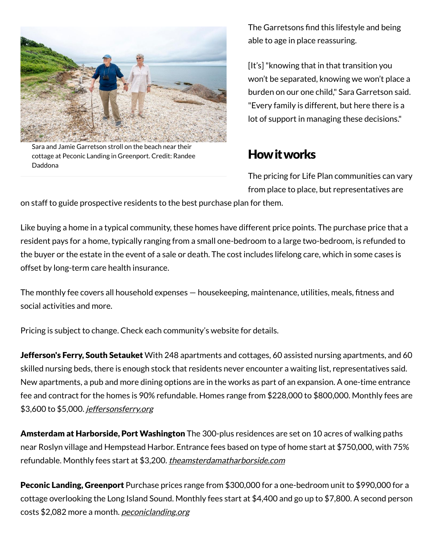

Sara and Jamie Garretson stroll on the beach near their cottage at Peconic Landing in Greenport. Credit: Randee Daddona

The Garretsons find this lifestyle and being able to age in place reassuring.

[It's]"knowing that in that transition you won't be separated, knowing we won't place a burden on our one child," Sara Garretson said. "Every family is different, but here there is a lot of support in managing these decisions."

### Howitworks

The pricing for Life Plan communities can vary from place to place, but representatives are

on staff to guide prospective residents to the best purchase plan for them.

Like buying a home in a typical community, these homes have different price points. The purchase price that a resident pays for a home, typically ranging from a small one-bedroom to a large two-bedroom, is refunded to the buyer or the estate in the event of a sale or death. The cost includes lifelong care, which in some cases is offset by long-term care health insurance.

The monthly fee covers all household expenses — housekeeping, maintenance, utilities, meals, fitness and social activities and more.

Pricing is subject to change. Check each community's website for details.

Jefferson's Ferry, South Setauket With 248 apartments and cottages, 60 assisted nursing apartments, and 60 skilled nursing beds, there is enough stock that residents never encounter a waiting list, representatives said. New apartments, a pub and more dining options are in the works as part of an expansion. A one-time entrance fee and contract for the homes is 90% refundable. Homes range from \$228,000 to \$800,000. Monthly fees are \$3,600 to \$5,000. [jeffersonsferry.org](http://jeffersonsferry.org/)

Amsterdam at Harborside, Port Washington The 300-plus residences are set on 10 acres of walking paths near Roslyn village and Hempstead Harbor. Entrance fees based on type of home start at \$750,000, with 75% refundable. Monthly fees start at \$3,200. <u>*[theamsterdamatharborside.com](http://theamsterdamatharborside.com/)</u>*</u>

Peconic Landing, Greenport Purchase prices range from \$300,000 for a one-bedroom unit to \$990,000 for a cottage overlooking the Long Island Sound. Monthly fees start at \$4,400 and go up to \$7,800. A second person costs \$2,082 more a month. <u>[peconiclanding.org](http://peconiclanding.org/)</u>